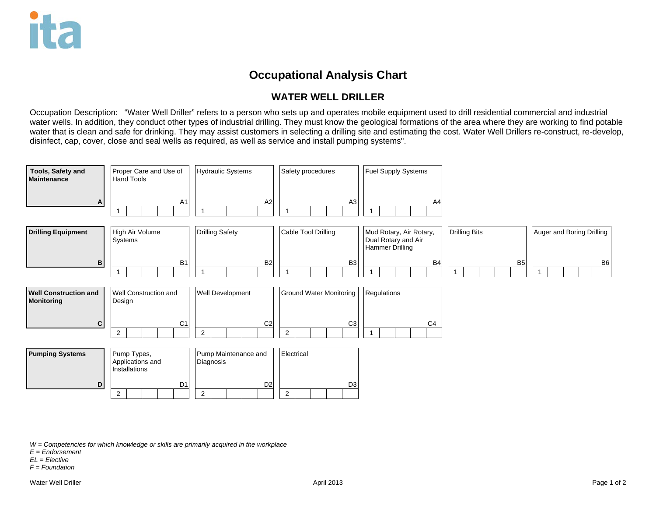## **Occupational Analysis Chart**

## **WATER WELL DRILLER**

Occupation Description: "Water Well Driller" refers to a person who sets up and operates mobile equipment used to drill residential commercial and industrial water wells. In addition, they conduct other types of industrial drilling. They must know the geological formations of the area where they are working to find potable water that is clean and safe for drinking. They may assist customers in selecting a drilling site and estimating the cost. Water Well Drillers re-construct, re-develop, disinfect, cap, cover, close and seal wells as required, as well as service and install pumping systems".



*W = Competencies for which knowledge or skills are primarily acquired in the workplace*

- *E = Endorsement*
- *EL = Elective*
- *F = Foundation*